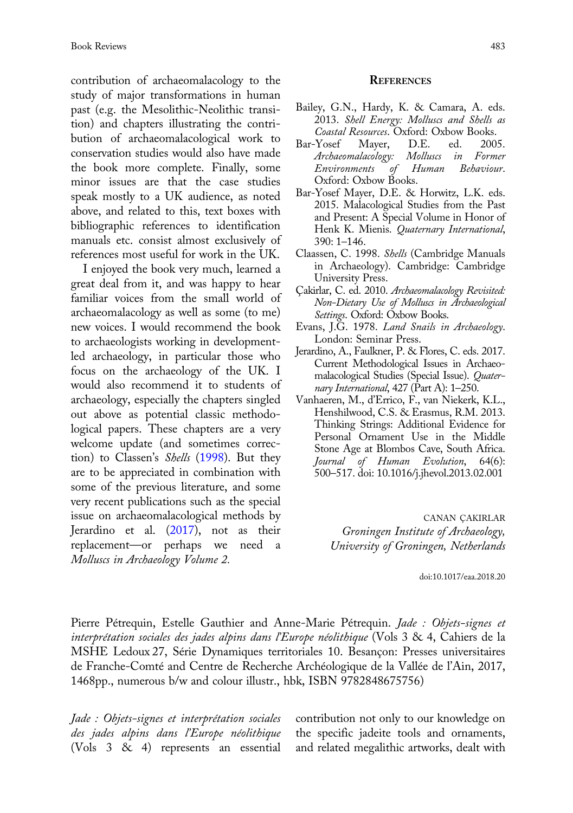contribution of archaeomalacology to the study of major transformations in human past (e.g. the Mesolithic-Neolithic transition) and chapters illustrating the contribution of archaeomalacological work to conservation studies would also have made the book more complete. Finally, some minor issues are that the case studies speak mostly to a UK audience, as noted above, and related to this, text boxes with bibliographic references to identification manuals etc. consist almost exclusively of references most useful for work in the UK.

I enjoyed the book very much, learned a great deal from it, and was happy to hear familiar voices from the small world of archaeomalacology as well as some (to me) new voices. I would recommend the book to archaeologists working in developmentled archaeology, in particular those who focus on the archaeology of the UK. I would also recommend it to students of archaeology, especially the chapters singled out above as potential classic methodological papers. These chapters are a very welcome update (and sometimes correction) to Classen's Shells (1998). But they are to be appreciated in combination with some of the previous literature, and some very recent publications such as the special issue on archaeomalacological methods by Jerardino et al. (2017), not as their replacement—or perhaps we need a Molluscs in Archaeology Volume 2.

## **REFERENCES**

- Bailey, G.N., Hardy, K. & Camara, A. eds. 2013. Shell Energy: Molluscs and Shells as
- Co*astal Resources*. Oxford: Oxbow Books.<br>Yosef Mayer, D.E. ed. 2005. Bar-Yosef Archaeomalacology: Molluscs in Former Environments of Oxford: Oxbow Books.
- Bar-Yosef Mayer, D.E. & Horwitz, L.K. eds. 2015. Malacological Studies from the Past and Present: A Special Volume in Honor of Henk K. Mienis. Quaternary International, 390: 1–146.
- Claassen, C. 1998. Shells (Cambridge Manuals in Archaeology). Cambridge: Cambridge University Press.
- Çakirlar, C. ed. 2010. Archaeomalacology Revisited: Non-Dietary Use of Molluscs in Archaeological Settings. Oxford: Oxbow Books.
- Evans, J.G. 1978. Land Snails in Archaeology. London: Seminar Press.
- Jerardino, A., Faulkner, P. & Flores, C. eds. 2017. Current Methodological Issues in Archaeomalacological Studies (Special Issue). Quaternary International, 427 (Part A): 1–250.
- Vanhaeren, M., d'Errico, F., van Niekerk, K.L., Henshilwood, C.S. & Erasmus, R.M. 2013. Thinking Strings: Additional Evidence for Personal Ornament Use in the Middle Stone Age at Blombos Cave, South Africa. Journal of Human Evolution, 64(6): 500–517. doi: 10.1016/j.jhevol.2013.02.001

CANAN ÇAKIRLAR Groningen Institute of Archaeology, University of Groningen, Netherlands

doi:10.1017/eaa.2018.20

Pierre Pétrequin, Estelle Gauthier and Anne-Marie Pétrequin. *Jade : Objets-signes et* interprétation sociales des jades alpins dans l'Europe néolithique (Vols 3 & 4, Cahiers de la MSHE Ledoux 27, Série Dynamiques territoriales 10. Besançon: Presses universitaires de Franche-Comté and Centre de Recherche Archéologique de la Vallée de l'Ain, 2017, 1468pp., numerous b/w and colour illustr., hbk, ISBN 9782848675756)

Jade : Objets-signes et interprétation sociales des jades alpins dans l'Europe néolithique (Vols 3 & 4) represents an essential contribution not only to our knowledge on the specific jadeite tools and ornaments, and related megalithic artworks, dealt with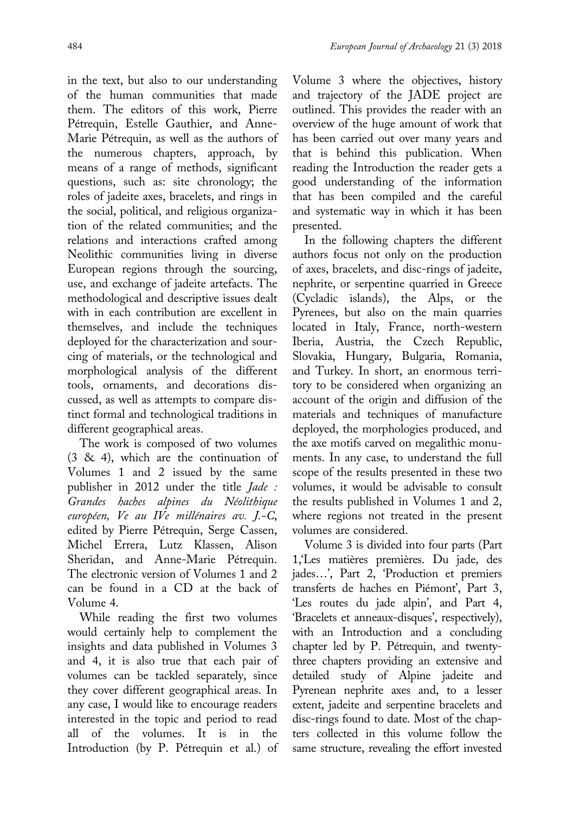in the text, but also to our understanding of the human communities that made them. The editors of this work, Pierre Pétrequin, Estelle Gauthier, and Anne-Marie Pétrequin, as well as the authors of the numerous chapters, approach, by means of a range of methods, significant questions, such as: site chronology; the roles of jadeite axes, bracelets, and rings in the social, political, and religious organization of the related communities; and the relations and interactions crafted among Neolithic communities living in diverse European regions through the sourcing, use, and exchange of jadeite artefacts. The methodological and descriptive issues dealt with in each contribution are excellent in themselves, and include the techniques deployed for the characterization and sourcing of materials, or the technological and morphological analysis of the different tools, ornaments, and decorations discussed, as well as attempts to compare distinct formal and technological traditions in different geographical areas.

The work is composed of two volumes (3 & 4), which are the continuation of Volumes 1 and 2 issued by the same publisher in 2012 under the title Jade : Grandes haches alpines du Néolithique européen, Ve au IVe millénaires av. J.-C, edited by Pierre Pétrequin, Serge Cassen, Michel Errera, Lutz Klassen, Alison Sheridan, and Anne-Marie Pétrequin. The electronic version of Volumes 1 and 2 can be found in a CD at the back of Volume 4.

While reading the first two volumes would certainly help to complement the insights and data published in Volumes 3 and 4, it is also true that each pair of volumes can be tackled separately, since they cover different geographical areas. In any case, I would like to encourage readers interested in the topic and period to read all of the volumes. It is in the Introduction (by P. Pétrequin et al.) of Volume 3 where the objectives, history and trajectory of the JADE project are outlined. This provides the reader with an overview of the huge amount of work that has been carried out over many years and that is behind this publication. When reading the Introduction the reader gets a good understanding of the information that has been compiled and the careful and systematic way in which it has been presented.

In the following chapters the different authors focus not only on the production of axes, bracelets, and disc-rings of jadeite, nephrite, or serpentine quarried in Greece (Cycladic islands), the Alps, or the Pyrenees, but also on the main quarries located in Italy, France, north-western Iberia, Austria, the Czech Republic, Slovakia, Hungary, Bulgaria, Romania, and Turkey. In short, an enormous territory to be considered when organizing an account of the origin and diffusion of the materials and techniques of manufacture deployed, the morphologies produced, and the axe motifs carved on megalithic monuments. In any case, to understand the full scope of the results presented in these two volumes, it would be advisable to consult the results published in Volumes 1 and 2, where regions not treated in the present volumes are considered.

Volume 3 is divided into four parts (Part 1,'Les matières premières. Du jade, des jades…', Part 2, 'Production et premiers transferts de haches en Piémont', Part 3, 'Les routes du jade alpin', and Part 4, 'Bracelets et anneaux-disques', respectively), with an Introduction and a concluding chapter led by P. Pétrequin, and twentythree chapters providing an extensive and detailed study of Alpine jadeite and Pyrenean nephrite axes and, to a lesser extent, jadeite and serpentine bracelets and disc-rings found to date. Most of the chapters collected in this volume follow the same structure, revealing the effort invested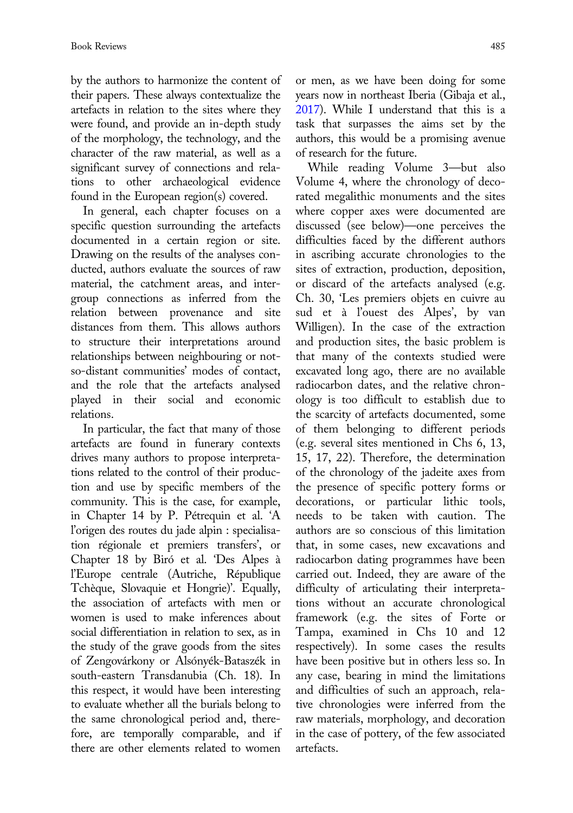by the authors to harmonize the content of their papers. These always contextualize the artefacts in relation to the sites where they were found, and provide an in-depth study of the morphology, the technology, and the character of the raw material, as well as a significant survey of connections and relations to other archaeological evidence found in the European region(s) covered.

In general, each chapter focuses on a specific question surrounding the artefacts documented in a certain region or site. Drawing on the results of the analyses conducted, authors evaluate the sources of raw material, the catchment areas, and intergroup connections as inferred from the relation between provenance and site distances from them. This allows authors to structure their interpretations around relationships between neighbouring or notso-distant communities' modes of contact, and the role that the artefacts analysed played in their social and economic relations.

In particular, the fact that many of those artefacts are found in funerary contexts drives many authors to propose interpretations related to the control of their production and use by specific members of the community. This is the case, for example, in Chapter 14 by P. Pétrequin et al. 'A l'origen des routes du jade alpin : specialisation régionale et premiers transfers', or Chapter 18 by Biró et al. 'Des Alpes à l'Europe centrale (Autriche, République Tchèque, Slovaquie et Hongrie)'. Equally, the association of artefacts with men or women is used to make inferences about social differentiation in relation to sex, as in the study of the grave goods from the sites of Zengovárkony or Alsónyék-Bataszék in south-eastern Transdanubia (Ch. 18). In this respect, it would have been interesting to evaluate whether all the burials belong to the same chronological period and, therefore, are temporally comparable, and if there are other elements related to women

or men, as we have been doing for some years now in northeast Iberia (Gibaja et al., 2017). While I understand that this is a task that surpasses the aims set by the authors, this would be a promising avenue of research for the future.

While reading Volume 3—but also Volume 4, where the chronology of decorated megalithic monuments and the sites where copper axes were documented are discussed (see below)—one perceives the difficulties faced by the different authors in ascribing accurate chronologies to the sites of extraction, production, deposition, or discard of the artefacts analysed (e.g. Ch. 30, 'Les premiers objets en cuivre au sud et à l'ouest des Alpes', by van Willigen). In the case of the extraction and production sites, the basic problem is that many of the contexts studied were excavated long ago, there are no available radiocarbon dates, and the relative chronology is too difficult to establish due to the scarcity of artefacts documented, some of them belonging to different periods (e.g. several sites mentioned in Chs 6, 13, 15, 17, 22). Therefore, the determination of the chronology of the jadeite axes from the presence of specific pottery forms or decorations, or particular lithic tools, needs to be taken with caution. The authors are so conscious of this limitation that, in some cases, new excavations and radiocarbon dating programmes have been carried out. Indeed, they are aware of the difficulty of articulating their interpretations without an accurate chronological framework (e.g. the sites of Forte or Tampa, examined in Chs 10 and 12 respectively). In some cases the results have been positive but in others less so. In any case, bearing in mind the limitations and difficulties of such an approach, relative chronologies were inferred from the raw materials, morphology, and decoration in the case of pottery, of the few associated artefacts.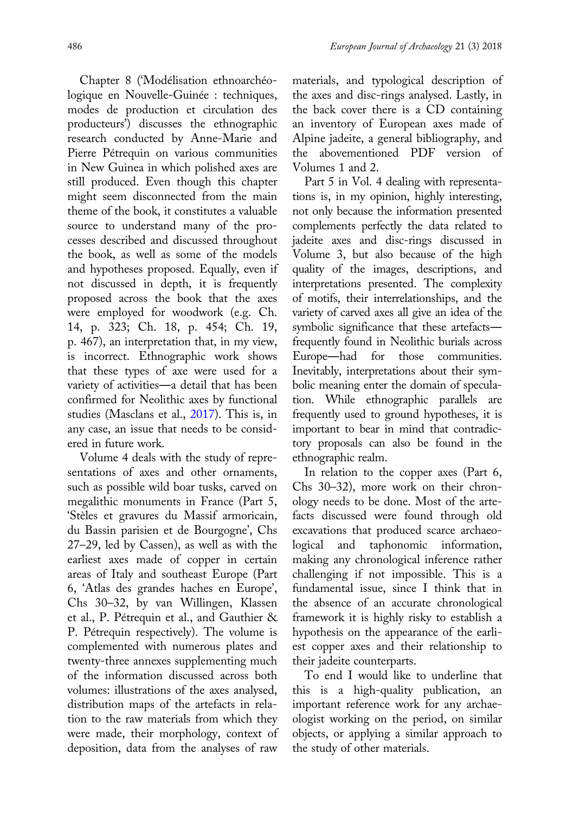Chapter 8 ('Modélisation ethnoarchéologique en Nouvelle-Guinée : techniques, modes de production et circulation des producteurs') discusses the ethnographic research conducted by Anne-Marie and Pierre Pétrequin on various communities in New Guinea in which polished axes are still produced. Even though this chapter might seem disconnected from the main theme of the book, it constitutes a valuable source to understand many of the processes described and discussed throughout the book, as well as some of the models and hypotheses proposed. Equally, even if not discussed in depth, it is frequently proposed across the book that the axes were employed for woodwork (e.g. Ch. 14, p. 323; Ch. 18, p. 454; Ch. 19, p. 467), an interpretation that, in my view, is incorrect. Ethnographic work shows that these types of axe were used for a variety of activities―a detail that has been confirmed for Neolithic axes by functional studies (Masclans et al., 2017). This is, in any case, an issue that needs to be considered in future work.

Volume 4 deals with the study of representations of axes and other ornaments, such as possible wild boar tusks, carved on megalithic monuments in France (Part 5, 'Stèles et gravures du Massif armoricain, du Bassin parisien et de Bourgogne', Chs 27–29, led by Cassen), as well as with the earliest axes made of copper in certain areas of Italy and southeast Europe (Part 6, 'Atlas des grandes haches en Europe', Chs 30–32, by van Willingen, Klassen et al., P. Pétrequin et al., and Gauthier & P. Pétrequin respectively). The volume is complemented with numerous plates and twenty-three annexes supplementing much of the information discussed across both volumes: illustrations of the axes analysed, distribution maps of the artefacts in relation to the raw materials from which they were made, their morphology, context of deposition, data from the analyses of raw materials, and typological description of the axes and disc-rings analysed. Lastly, in the back cover there is a CD containing an inventory of European axes made of Alpine jadeite, a general bibliography, and the abovementioned PDF version of Volumes 1 and 2.

Part 5 in Vol. 4 dealing with representations is, in my opinion, highly interesting, not only because the information presented complements perfectly the data related to jadeite axes and disc-rings discussed in Volume 3, but also because of the high quality of the images, descriptions, and interpretations presented. The complexity of motifs, their interrelationships, and the variety of carved axes all give an idea of the symbolic significance that these artefacts― frequently found in Neolithic burials across Europe―had for those communities. Inevitably, interpretations about their symbolic meaning enter the domain of speculation. While ethnographic parallels are frequently used to ground hypotheses, it is important to bear in mind that contradictory proposals can also be found in the ethnographic realm.

In relation to the copper axes (Part 6, Chs 30–32), more work on their chronology needs to be done. Most of the artefacts discussed were found through old excavations that produced scarce archaeological and taphonomic information, making any chronological inference rather challenging if not impossible. This is a fundamental issue, since I think that in the absence of an accurate chronological framework it is highly risky to establish a hypothesis on the appearance of the earliest copper axes and their relationship to their jadeite counterparts.

To end I would like to underline that this is a high-quality publication, an important reference work for any archaeologist working on the period, on similar objects, or applying a similar approach to the study of other materials.